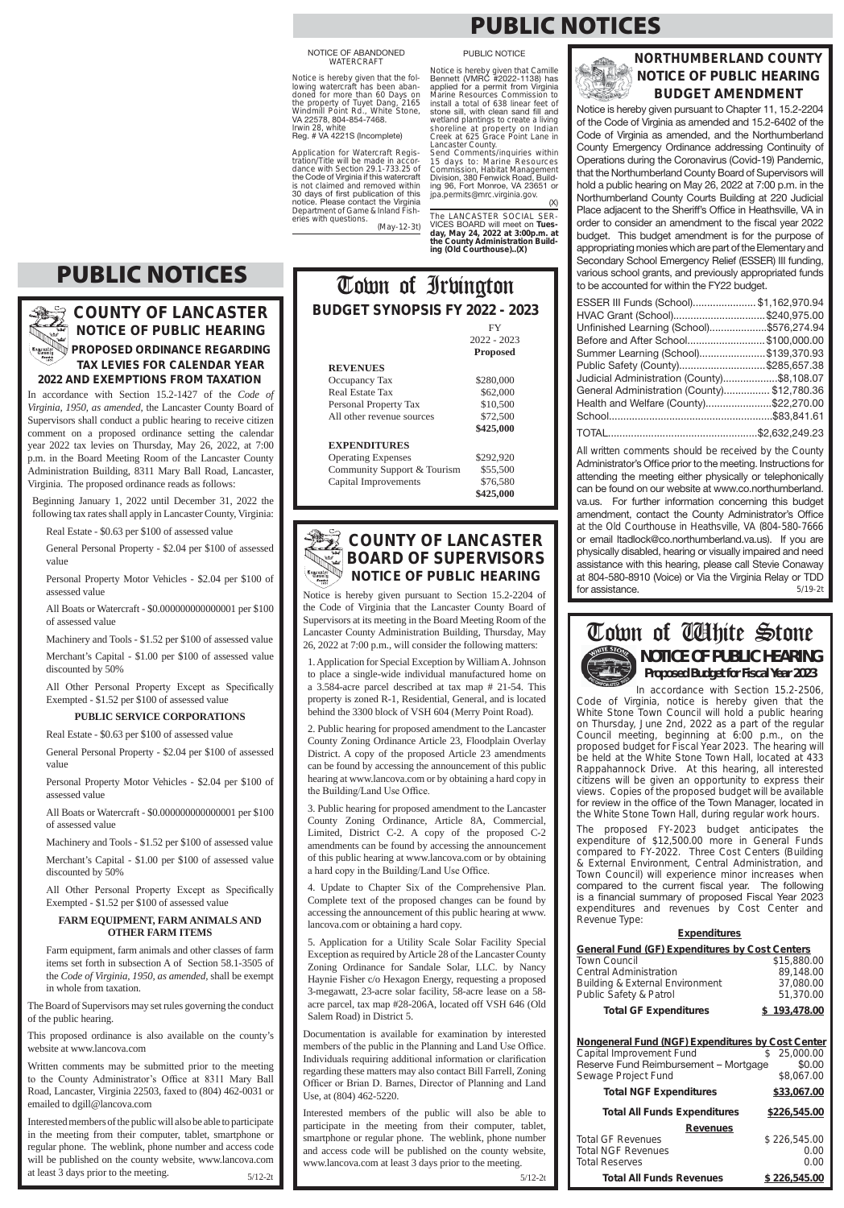

5/12-2t

Notice is hereby given pursuant to Section 15.2-2204 of the Code of Virginia that the Lancaster County Board of Supervisors at its meeting in the Board Meeting Room of the Lancaster County Administration Building, Thursday, May 26, 2022 at 7:00 p.m., will consider the following matters:

2. Public hearing for proposed amendment to the Lancaster County Zoning Ordinance Article 23, Floodplain Overlay District. A copy of the proposed Article 23 amendments can be found by accessing the announcement of this public hearing at www.lancova.com or by obtaining a hard copy in the Building/Land Use Office.

3. Public hearing for proposed amendment to the Lancaster County Zoning Ordinance, Article 8A, Commercial, Limited, District C-2. A copy of the proposed C-2 amendments can be found by accessing the announcement of this public hearing at www.lancova.com or by obtaining a hard copy in the Building/Land Use Office.

1. Application for Special Exception by William A. Johnson to place a single-wide individual manufactured home on a 3.584-acre parcel described at tax map # 21-54. This property is zoned R-1, Residential, General, and is located behind the 3300 block of VSH 604 (Merry Point Road).

4. Update to Chapter Six of the Comprehensive Plan. Complete text of the proposed changes can be found by accessing the announcement of this public hearing at www. lancova.com or obtaining a hard copy.

5. Application for a Utility Scale Solar Facility Special Exception as required by Article 28 of the Lancaster County Zoning Ordinance for Sandale Solar, LLC. by Nancy Haynie Fisher c/o Hexagon Energy, requesting a proposed 3-megawatt, 23-acre solar facility, 58-acre lease on a 58 acre parcel, tax map #28-206A, located off VSH 646 (Old Salem Road) in District 5.

All Other Personal Property Except as Specifically Exempted - \$1.52 per \$100 of assessed value

> Documentation is available for examination by interested members of the public in the Planning and Land Use Office. Individuals requiring additional information or clarification regarding these matters may also contact Bill Farrell, Zoning Officer or Brian D. Barnes, Director of Planning and Land Use, at (804) 462-5220.

All Other Personal Property Except as Specifically Exempted - \$1.52 per \$100 of assessed value

> Interested members of the public will also be able to participate in the meeting from their computer, tablet, smartphone or regular phone. The weblink, phone number and access code will be published on the county website, www.lancova.com at least 3 days prior to the meeting.

Interested members of the public will also be able to participate in the meeting from their computer, tablet, smartphone or regular phone. The weblink, phone number and access code will be published on the county website, www.lancova.com at least 3 days prior to the meeting.  $5/12-2t$ 

## **COUNTY OF LANCASTER NOTICE OF PUBLIC HEARING**

5/19-2t All written comments should be received by the County Administrator's Office prior to the meeting. Instructions for attending the meeting either physically or telephonically can be found on our website at www.co.northumberland. va.us. For further information concerning this budget amendment, contact the County Administrator's Office at the Old Courthouse in Heathsville, VA (804-580-7666 or email Itadlock@co.northumberland.va.us). If you are physically disabled, hearing or visually impaired and need assistance with this hearing, please call Stevie Conaway at 804-580-8910 (Voice) or Via the Virginia Relay or TDD for assistance.

**PROPOSED ORDINANCE REGARDING TAX LEVIES FOR CALENDAR YEAR 2022 AND EXEMPTIONS FROM TAXATION**

In accordance with Section 15.2-1427 of the *Code of Virginia, 1950, as amended,* the Lancaster County Board of Supervisors shall conduct a public hearing to receive citizen comment on a proposed ordinance setting the calendar year 2022 tax levies on Thursday, May 26, 2022, at 7:00 p.m. in the Board Meeting Room of the Lancaster County Administration Building, 8311 Mary Ball Road, Lancaster, Virginia. The proposed ordinance reads as follows:

Beginning January 1, 2022 until December 31, 2022 the following tax rates shall apply in Lancaster County, Virginia:

Real Estate - \$0.63 per \$100 of assessed value

General Personal Property - \$2.04 per \$100 of assessed value

Personal Property Motor Vehicles - \$2.04 per \$100 of assessed value

All Boats or Watercraft - \$0.000000000000001 per \$100 of assessed value

Machinery and Tools - \$1.52 per \$100 of assessed value

Merchant's Capital - \$1.00 per \$100 of assessed value discounted by 50%

### **PUBLIC SERVICE CORPORATIONS**

Real Estate - \$0.63 per \$100 of assessed value

General Personal Property - \$2.04 per \$100 of assessed value

Personal Property Motor Vehicles - \$2.04 per \$100 of assessed value

# **NOTICE OF PUBLIC HEARING Proposed Budget for Fiscal Year 2023**

All Boats or Watercraft - \$0.000000000000001 per \$100 of assessed value

Machinery and Tools - \$1.52 per \$100 of assessed value

Merchant's Capital - \$1.00 per \$100 of assessed value discounted by 50%

**FARM EQUIPMENT, FARM ANIMALS AND** 

**BUDGET SYNOPSIS FY 2022 - 2023** 

### **OTHER FARM ITEMS**

Farm equipment, farm animals and other classes of farm items set forth in subsection A of Section 58.1-3505 of the *Code of Virginia, 1950, as amended,* shall be exempt in whole from taxation.

| <b>General Fund (GF) Expenditures by Cost Centers</b> |     |              |
|-------------------------------------------------------|-----|--------------|
| <b>Town Council</b>                                   |     | \$15,880.00  |
| <b>Central Administration</b>                         |     | 89,148.00    |
| <b>Building &amp; External Environment</b>            |     | 37,080.00    |
| Public Safety & Patrol                                |     | 51,370.00    |
| <b>Total GF Expenditures</b>                          |     | \$193,478.00 |
|                                                       |     |              |
| Nongeneral Fund (NGF) Expenditures by Cost Center     |     |              |
| Capital Improvement Fund                              | \$. | 25.000.00    |
| Reserve Fund Reimbursement - Mortgage                 |     | \$0.00       |
| Sewage Project Fund                                   |     | \$8,067.00   |
| <b>Total NGF Expenditures</b>                         |     | \$33,067.00  |

The Board of Supervisors may set rules governing the conduct of the public hearing.

This proposed ordinance is also available on the county's website at www.lancova.com

Written comments may be submitted prior to the meeting to the County Administrator's Office at 8311 Mary Ball Road, Lancaster, Virginia 22503, faxed to (804) 462-0031 or emailed to dgill@lancova.com

> Total GF Revenues  $$ 226,545.00$ Total NGF Revenues 0.00 Total Reserves 0.00 **Total All Funds Revenues \$ 226,545.00**

Application for Watercraft Registration/Title will be made in accordance with Section 29.1-733.25 of the Code of Virginia if this watercraft is not claimed and removed within 30 days of first publication of this notice. Please contact the Virginia<br>Department of Game & Inland Fish-

 $(X)$ The LANCASTER SOCIAL SER- VICES BOARD will meet on Tues**day, May 24, 2022 at 3:00p.m. at the County Administration Building (Old Courthouse)..(X)**

### **NORTHUMBERLAND COUNTY NOTICE OF PUBLIC HEARING BUDGET AMENDMENT**

Notice is hereby given pursuant to Chapter 11, 15.2-2204 of the Code of Virginia as amended and 15.2-6402 of the Code of Virginia as amended, and the Northumberland County Emergency Ordinance addressing Continuity of Operations during the Coronavirus (Covid-19) Pandemic, that the Northumberland County Board of Supervisors will hold a public hearing on May 26, 2022 at 7:00 p.m. in the Northumberland County Courts Building at 220 Judicial Place adiacent to the Sheriff's Office in Heathsville. VA in order to consider an amendment to the fiscal vear 2022 budget. This budget amendment is for the purpose of appropriating monies which are part of the Elementary and Secondary School Emergency Relief (ESSER) III funding, various school grants, and previously appropriated funds to be accounted for within the FY22 budget.

| ESSER III Funds (School)\$1,162,970.94      |  |
|---------------------------------------------|--|
| HVAC Grant (School)\$240,975.00             |  |
| Unfinished Learning (School)\$576,274.94    |  |
| Before and After School\$100,000.00         |  |
| Summer Learning (School)\$139,370.93        |  |
| Public Safety (County)\$285,657.38          |  |
| Judicial Administration (County)\$8,108.07  |  |
| General Administration (County) \$12,780.36 |  |
| Health and Welfare (County)\$22,270.00      |  |
|                                             |  |
|                                             |  |

# FY

Occupancy Tax \$280,000

 2022 - 2023 **Proposed**

### **REVENUES**

NOTICE OF ABANDONED<br>WATERCRAFT

**\$425,000**

### **EXPENDITURES**

Operating Expenses \$292,920 Community Support & Tourism \$55,500 Capital Improvements \$76,580 **\$425,000** 

> In accordance with Section 15.2-2506, Code of Virginia, notice is hereby given that the White Stone Town Council will hold a public hearing on Thursday, June 2nd, 2022 as a part of the regular Council meeting, beginning at 6:00 p.m., on the proposed budget for Fiscal Year 2023. The hearing will be held at the White Stone Town Hall, located at 433 Rappahannock Drive. At this hearing, all interested citizens will be given an opportunity to express their views. Copies of the proposed budget will be available for review in the office of the Town Manager, located in the White Stone Town Hall, during regular work hours.

> The proposed FY-2023 budget anticipates the expenditure of \$12,500.00 more in General Funds compared to FY-2022. Three Cost Centers (Building & External Environment, Central Administration, and Town Council) will experience minor increases when compared to the current fiscal year. The following is a financial summary of proposed Fiscal Year 2023 expenditures and revenues by Cost Center and Revenue Type:

#### **Expenditures**

**Total All Funds Expenditures \$226,545.00**

**Revenues**

Irwin 28, white

Notice is hereby given that the following watercraft has been abandoned for more than 60 Days on the property of Tuyet Dang, 2165 Windmill Point Rd., White Stone, VA 22578, 804-854-7468. Reg. # VA 4221S (Incomplete) Notice is hereby given that Camille Bennett (VMRC #2022-1138) has applied for a permit from Virginia Marine Resources Commission to install a total of 638 linear feet of stone sill, with clean sand fill and wetland plantings to create a living shoreline at property on Indian Creek at 625 Grace Point Lane in

eries with questions.

Real Estate Tax \$62,000 Personal Property Tax \$10,500 All other revenue sources  $$72,500$ 

(May-12-3t)

Lancaster County. Send Comments/inquiries within 15 days to: Marine Resources Commission, Habitat Management Division, 380 Fenwick Road, Building 96, Fort Monroe, VA 23651 or jpa.permits@mrc.virginia.gov.

# **PUBLIC NOTICES**

PUBLIC NOTICE

# **PUBLIC NOTICES**